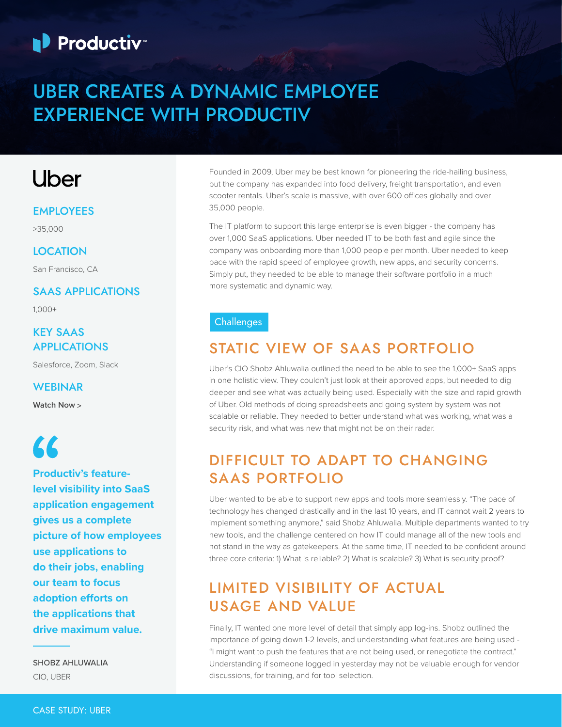# **Productiv**

## UBER CREATES A DYNAMIC EMPLOYEE EXPERIENCE WITH PRODUCTIV

## Uber

#### EMPLOYEES

>35,000

#### **LOCATION**

San Francisco, CA

#### SAAS APPLICATIONS

1,000+

#### KEY SAAS APPLICATIONS

Salesforce, Zoom, Slack

#### WEBINAR

**[Watch Now >](https://www.brighttalk.com/webcast/18340/444850/how-effective-management-of-saas-powers-operations-for-uber)**

# $\epsilon$

**Productiv's featurelevel visibility into SaaS application engagement gives us a complete picture of how employees use applications to do their jobs, enabling our team to focus adoption efforts on the applications that drive maximum value.**

SHOBZ AHLUWALIA CIO, UBER

Founded in 2009, Uber may be best known for pioneering the ride-hailing business, but the company has expanded into food delivery, freight transportation, and even scooter rentals. Uber's scale is massive, with over 600 offices globally and over 35,000 people.

The IT platform to support this large enterprise is even bigger - the company has over 1,000 SaaS applications. Uber needed IT to be both fast and agile since the company was onboarding more than 1,000 people per month. Uber needed to keep pace with the rapid speed of employee growth, new apps, and security concerns. Simply put, they needed to be able to manage their software portfolio in a much more systematic and dynamic way.

#### **Challenges**

### STATIC VIEW OF SAAS PORTFOLIO

Uber's CIO Shobz Ahluwalia outlined the need to be able to see the 1,000+ SaaS apps in one holistic view. They couldn't just look at their approved apps, but needed to dig deeper and see what was actually being used. Especially with the size and rapid growth of Uber. Old methods of doing spreadsheets and going system by system was not scalable or reliable. They needed to better understand what was working, what was a security risk, and what was new that might not be on their radar.

## DIFFICULT TO ADAPT TO CHANGING SAAS PORTFOLIO

Uber wanted to be able to support new apps and tools more seamlessly. "The pace of technology has changed drastically and in the last 10 years, and IT cannot wait 2 years to implement something anymore," said Shobz Ahluwalia. Multiple departments wanted to try new tools, and the challenge centered on how IT could manage all of the new tools and not stand in the way as gatekeepers. At the same time, IT needed to be confident around three core criteria: 1) What is reliable? 2) What is scalable? 3) What is security proof?

## LIMITED VISIBILITY OF ACTUAL USAGE AND VALUE

Finally, IT wanted one more level of detail that simply app log-ins. Shobz outlined the importance of going down 1-2 levels, and understanding what features are being used - "I might want to push the features that are not being used, or renegotiate the contract." Understanding if someone logged in yesterday may not be valuable enough for vendor discussions, for training, and for tool selection.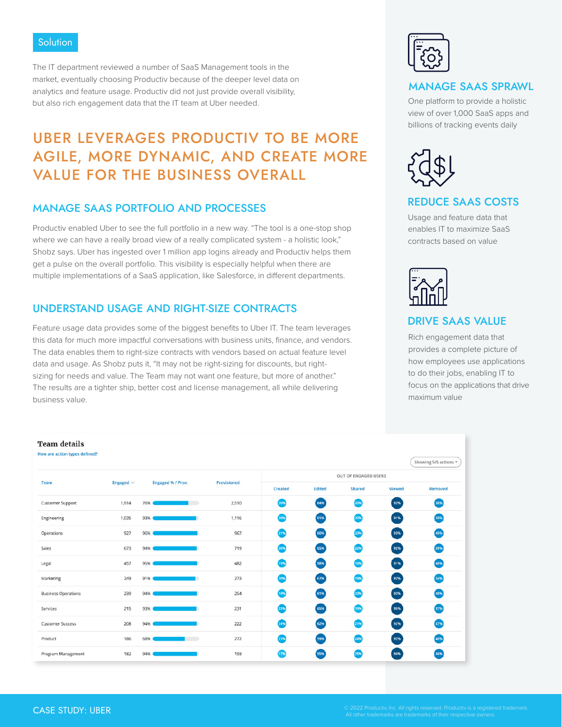#### **Solution**

The IT department reviewed a number of SaaS Management tools in the market, eventually choosing Productiv because of the deeper level data on analytics and feature usage. Productiv did not just provide overall visibility, but also rich engagement data that the IT team at Uber needed.

### UBER LEVERAGES PRODUCTIV TO BE MORE AGILE, MORE DYNAMIC, AND CREATE MORE VALUE FOR THE BUSINESS OVERALL

#### MANAGE SAAS PORTFOLIO AND PROCESSES

Productiv enabled Uber to see the full portfolio in a new way. "The tool is a one-stop shop where we can have a really broad view of a really complicated system - a holistic look," Shobz says. Uber has ingested over 1 million app logins already and Productiv helps them get a pulse on the overall portfolio. This visibility is especially helpful when there are multiple implementations of a SaaS application, like Salesforce, in different departments.

#### UNDERSTAND USAGE AND RIGHT-SIZE CONTRACTS

Feature usage data provides some of the biggest benefits to Uber IT. The team leverages this data for much more impactful conversations with business units, finance, and vendors. The data enables them to right-size contracts with vendors based on actual feature level data and usage. As Shobz puts it, "It may not be right-sizing for discounts, but rightsizing for needs and value. The Team may not want one feature, but more of another." The results are a tighter ship, better cost and license management, all while delivering business value.



#### MANAGE SAAS SPRAWL

One platform to provide a holistic view of over 1,000 SaaS apps and billions of tracking events daily



#### REDUCE SAAS COSTS

Usage and feature data that enables IT to maximize SaaS contracts based on value



#### DRIVE SAAS VALUE

Rich engagement data that provides a complete picture of how employees use applications to do their jobs, enabling IT to focus on the applications that drive maximum value

| T CHIVY MC LUVIO              |                |                   |                    |                      |        |               |        |                       |
|-------------------------------|----------------|-------------------|--------------------|----------------------|--------|---------------|--------|-----------------------|
| How are action types defined? |                |                   |                    |                      |        |               |        | Showing 5/5 actions * |
| Team                          |                | Engaged % / Prov. | <b>Provisioned</b> | OUT OF ENGAGED USERS |        |               |        |                       |
|                               | Engaged $\vee$ |                   |                    | Created              | Edited | <b>Shared</b> | Viewed | Removed               |
| <b>Customer Support</b>       | 1,914          | 76%               | 2,510              | 20%                  | 64%    | 20%           | 92%    | 38%                   |
| Engineering                   | 1,035          | 93%               | 1,116              | 20%                  | 61%    | 20%           | 91%    | 39%                   |
| Operations                    | 927            | 96%               | 967                | 21%                  | 60%    | 23%           | 93%    | 40%                   |
| Sales                         | 673            | 94%               | 719                | 20%                  | 65%    | 2255          | 92%    | 39%                   |
| Legal                         | 457            | 95%               | 482                | 19%                  | 58%    | 19%           | 91%    | 40%                   |
| Marketing                     | 249            | 91%               | 273                | 20%                  | 67%    | 19%           | 92%    | 34%                   |
| <b>Business Operations</b>    | 239            | 94%               | 254                | 19%                  | 61%    | 2304          | 92%    | 40%                   |
| Services                      | 215            | 93%               | 231                | 23%                  | 65%    | 1955          | 95%    | 37%                   |
| <b>Customer Success</b>       | 208            | 94%               | 222                | 24%                  | 62%    | 21%           | 92%    | 37%                   |
| Product                       | 186            | 68%               | 272                | 23%                  | 59%    | 24%           | 92%    | 40%                   |
| Program Management            | 182            | 94%               | 193                | 17%                  | 55%    | 25%           | 94%    | 46%                   |

Toam details